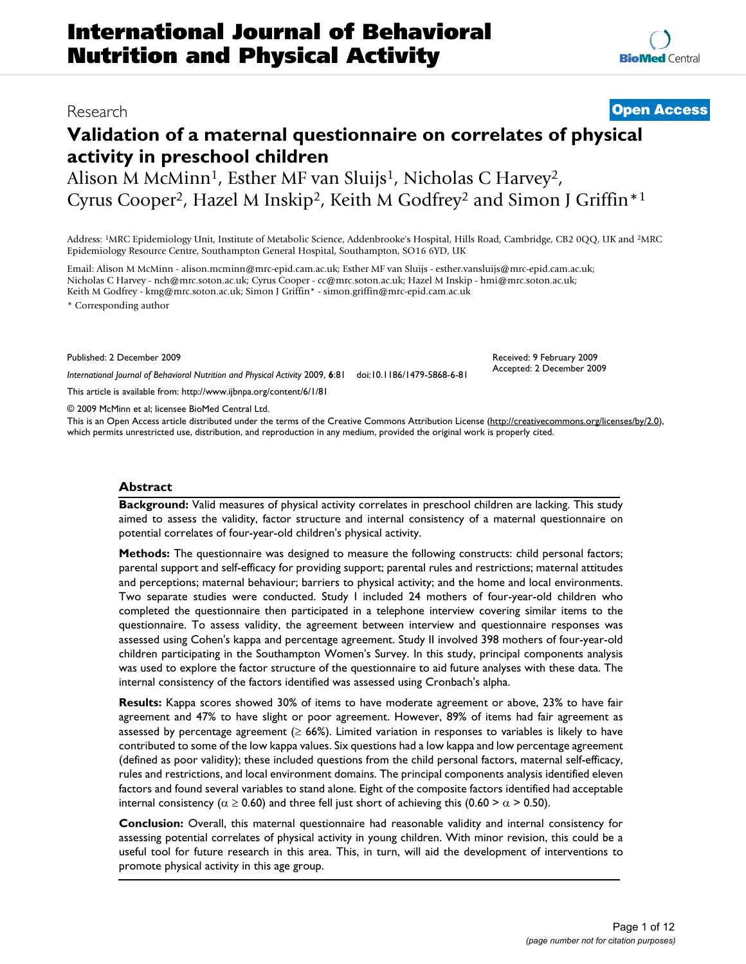# **Validation of a maternal questionnaire on correlates of physical activity in preschool children**

Alison M McMinn<sup>1</sup>, Esther MF van Sluijs<sup>1</sup>, Nicholas C Harvey<sup>2</sup>, Cyrus Cooper2, Hazel M Inskip2, Keith M Godfrey2 and Simon J Griffin\*1

Address: 1MRC Epidemiology Unit, Institute of Metabolic Science, Addenbrooke's Hospital, Hills Road, Cambridge, CB2 0QQ, UK and 2MRC Epidemiology Resource Centre, Southampton General Hospital, Southampton, SO16 6YD, UK

Email: Alison M McMinn - alison.mcminn@mrc-epid.cam.ac.uk; Esther MF van Sluijs - esther.vansluijs@mrc-epid.cam.ac.uk; Nicholas C Harvey - nch@mrc.soton.ac.uk; Cyrus Cooper - cc@mrc.soton.ac.uk; Hazel M Inskip - hmi@mrc.soton.ac.uk; Keith M Godfrey - kmg@mrc.soton.ac.uk; Simon J Griffin\* - simon.griffin@mrc-epid.cam.ac.uk

\* Corresponding author

Published: 2 December 2009

*International Journal of Behavioral Nutrition and Physical Activity* 2009, **6**:81 doi:10.1186/1479-5868-6-81

[This article is available from: http://www.ijbnpa.org/content/6/1/81](http://www.ijbnpa.org/content/6/1/81)

© 2009 McMinn et al; licensee BioMed Central Ltd.

This is an Open Access article distributed under the terms of the Creative Commons Attribution License [\(http://creativecommons.org/licenses/by/2.0\)](http://creativecommons.org/licenses/by/2.0), which permits unrestricted use, distribution, and reproduction in any medium, provided the original work is properly cited.

#### **Abstract**

**Background:** Valid measures of physical activity correlates in preschool children are lacking. This study aimed to assess the validity, factor structure and internal consistency of a maternal questionnaire on potential correlates of four-year-old children's physical activity.

**Methods:** The questionnaire was designed to measure the following constructs: child personal factors; parental support and self-efficacy for providing support; parental rules and restrictions; maternal attitudes and perceptions; maternal behaviour; barriers to physical activity; and the home and local environments. Two separate studies were conducted. Study I included 24 mothers of four-year-old children who completed the questionnaire then participated in a telephone interview covering similar items to the questionnaire. To assess validity, the agreement between interview and questionnaire responses was assessed using Cohen's kappa and percentage agreement. Study II involved 398 mothers of four-year-old children participating in the Southampton Women's Survey. In this study, principal components analysis was used to explore the factor structure of the questionnaire to aid future analyses with these data. The internal consistency of the factors identified was assessed using Cronbach's alpha.

**Results:** Kappa scores showed 30% of items to have moderate agreement or above, 23% to have fair agreement and 47% to have slight or poor agreement. However, 89% of items had fair agreement as assessed by percentage agreement ( $\geq$  66%). Limited variation in responses to variables is likely to have contributed to some of the low kappa values. Six questions had a low kappa and low percentage agreement (defined as poor validity); these included questions from the child personal factors, maternal self-efficacy, rules and restrictions, and local environment domains. The principal components analysis identified eleven factors and found several variables to stand alone. Eight of the composite factors identified had acceptable internal consistency ( $\alpha \ge 0.60$ ) and three fell just short of achieving this (0.60 >  $\alpha$  > 0.50).

**Conclusion:** Overall, this maternal questionnaire had reasonable validity and internal consistency for assessing potential correlates of physical activity in young children. With minor revision, this could be a useful tool for future research in this area. This, in turn, will aid the development of interventions to promote physical activity in this age group.

# Research **[Open Access](http://www.biomedcentral.com/info/about/charter/)**

Received: 9 February 2009 Accepted: 2 December 2009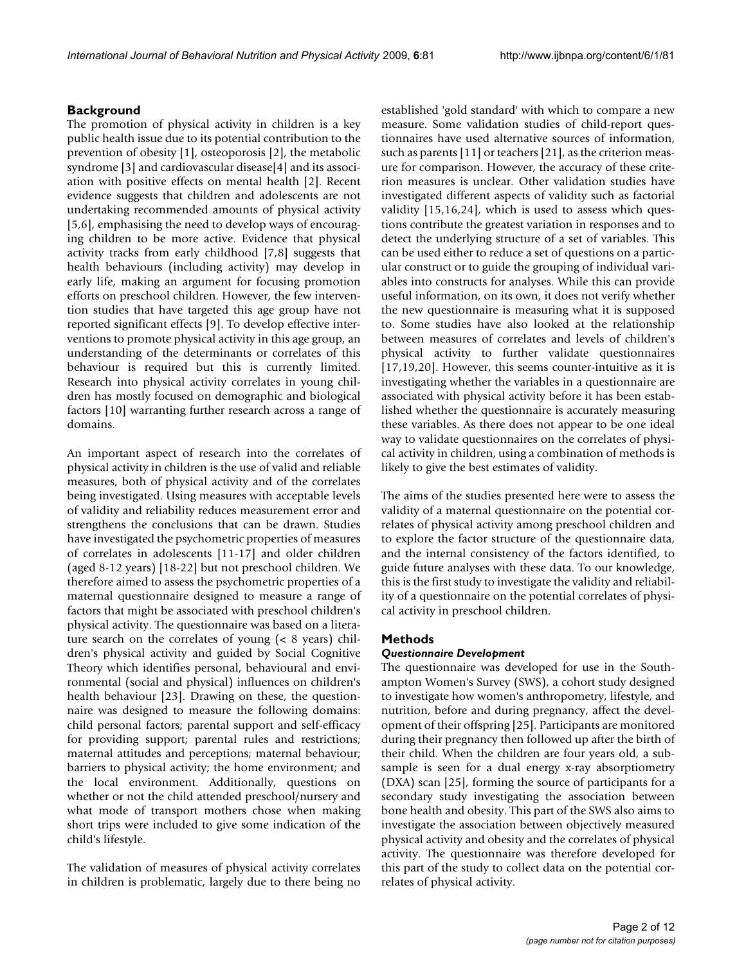# **Background**

The promotion of physical activity in children is a key public health issue due to its potential contribution to the prevention of obesity [1], osteoporosis [2], the metabolic syndrome [3] and cardiovascular disease[4] and its association with positive effects on mental health [2]. Recent evidence suggests that children and adolescents are not undertaking recommended amounts of physical activity [5,6], emphasising the need to develop ways of encouraging children to be more active. Evidence that physical activity tracks from early childhood [7,8] suggests that health behaviours (including activity) may develop in early life, making an argument for focusing promotion efforts on preschool children. However, the few intervention studies that have targeted this age group have not reported significant effects [9]. To develop effective interventions to promote physical activity in this age group, an understanding of the determinants or correlates of this behaviour is required but this is currently limited. Research into physical activity correlates in young children has mostly focused on demographic and biological factors [10] warranting further research across a range of domains.

An important aspect of research into the correlates of physical activity in children is the use of valid and reliable measures, both of physical activity and of the correlates being investigated. Using measures with acceptable levels of validity and reliability reduces measurement error and strengthens the conclusions that can be drawn. Studies have investigated the psychometric properties of measures of correlates in adolescents [11-17] and older children (aged 8-12 years) [18-22] but not preschool children. We therefore aimed to assess the psychometric properties of a maternal questionnaire designed to measure a range of factors that might be associated with preschool children's physical activity. The questionnaire was based on a literature search on the correlates of young (< 8 years) children's physical activity and guided by Social Cognitive Theory which identifies personal, behavioural and environmental (social and physical) influences on children's health behaviour [23]. Drawing on these, the questionnaire was designed to measure the following domains: child personal factors; parental support and self-efficacy for providing support; parental rules and restrictions; maternal attitudes and perceptions; maternal behaviour; barriers to physical activity; the home environment; and the local environment. Additionally, questions on whether or not the child attended preschool/nursery and what mode of transport mothers chose when making short trips were included to give some indication of the child's lifestyle.

The validation of measures of physical activity correlates in children is problematic, largely due to there being no established 'gold standard' with which to compare a new measure. Some validation studies of child-report questionnaires have used alternative sources of information, such as parents [11] or teachers [21], as the criterion measure for comparison. However, the accuracy of these criterion measures is unclear. Other validation studies have investigated different aspects of validity such as factorial validity [15,16,24], which is used to assess which questions contribute the greatest variation in responses and to detect the underlying structure of a set of variables. This can be used either to reduce a set of questions on a particular construct or to guide the grouping of individual variables into constructs for analyses. While this can provide useful information, on its own, it does not verify whether the new questionnaire is measuring what it is supposed to. Some studies have also looked at the relationship between measures of correlates and levels of children's physical activity to further validate questionnaires [17,19,20]. However, this seems counter-intuitive as it is investigating whether the variables in a questionnaire are associated with physical activity before it has been established whether the questionnaire is accurately measuring these variables. As there does not appear to be one ideal way to validate questionnaires on the correlates of physical activity in children, using a combination of methods is likely to give the best estimates of validity.

The aims of the studies presented here were to assess the validity of a maternal questionnaire on the potential correlates of physical activity among preschool children and to explore the factor structure of the questionnaire data, and the internal consistency of the factors identified, to guide future analyses with these data. To our knowledge, this is the first study to investigate the validity and reliability of a questionnaire on the potential correlates of physical activity in preschool children.

# **Methods**

# *Questionnaire Development*

The questionnaire was developed for use in the Southampton Women's Survey (SWS), a cohort study designed to investigate how women's anthropometry, lifestyle, and nutrition, before and during pregnancy, affect the development of their offspring [25]. Participants are monitored during their pregnancy then followed up after the birth of their child. When the children are four years old, a subsample is seen for a dual energy x-ray absorptiometry (DXA) scan [25], forming the source of participants for a secondary study investigating the association between bone health and obesity. This part of the SWS also aims to investigate the association between objectively measured physical activity and obesity and the correlates of physical activity. The questionnaire was therefore developed for this part of the study to collect data on the potential correlates of physical activity.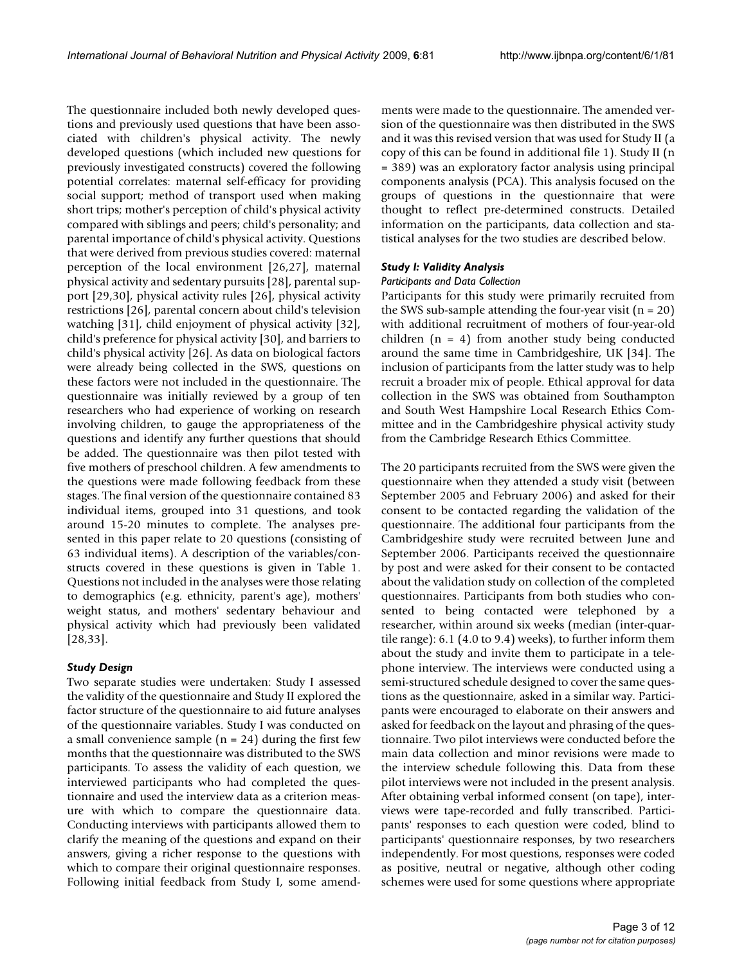The questionnaire included both newly developed questions and previously used questions that have been associated with children's physical activity. The newly developed questions (which included new questions for previously investigated constructs) covered the following potential correlates: maternal self-efficacy for providing social support; method of transport used when making short trips; mother's perception of child's physical activity compared with siblings and peers; child's personality; and parental importance of child's physical activity. Questions that were derived from previous studies covered: maternal perception of the local environment [26,27], maternal physical activity and sedentary pursuits [28], parental support [29,30], physical activity rules [26], physical activity restrictions [26], parental concern about child's television watching [31], child enjoyment of physical activity [32], child's preference for physical activity [30], and barriers to child's physical activity [26]. As data on biological factors were already being collected in the SWS, questions on these factors were not included in the questionnaire. The questionnaire was initially reviewed by a group of ten researchers who had experience of working on research involving children, to gauge the appropriateness of the questions and identify any further questions that should be added. The questionnaire was then pilot tested with five mothers of preschool children. A few amendments to the questions were made following feedback from these stages. The final version of the questionnaire contained 83 individual items, grouped into 31 questions, and took around 15-20 minutes to complete. The analyses presented in this paper relate to 20 questions (consisting of 63 individual items). A description of the variables/constructs covered in these questions is given in Table 1. Questions not included in the analyses were those relating to demographics (e.g. ethnicity, parent's age), mothers' weight status, and mothers' sedentary behaviour and physical activity which had previously been validated [28,33].

# *Study Design*

Two separate studies were undertaken: Study I assessed the validity of the questionnaire and Study II explored the factor structure of the questionnaire to aid future analyses of the questionnaire variables. Study I was conducted on a small convenience sample ( $n = 24$ ) during the first few months that the questionnaire was distributed to the SWS participants. To assess the validity of each question, we interviewed participants who had completed the questionnaire and used the interview data as a criterion measure with which to compare the questionnaire data. Conducting interviews with participants allowed them to clarify the meaning of the questions and expand on their answers, giving a richer response to the questions with which to compare their original questionnaire responses. Following initial feedback from Study I, some amendments were made to the questionnaire. The amended version of the questionnaire was then distributed in the SWS and it was this revised version that was used for Study II (a copy of this can be found in additional file 1). Study II (n = 389) was an exploratory factor analysis using principal components analysis (PCA). This analysis focused on the groups of questions in the questionnaire that were thought to reflect pre-determined constructs. Detailed information on the participants, data collection and statistical analyses for the two studies are described below.

# *Study I: Validity Analysis*

### *Participants and Data Collection*

Participants for this study were primarily recruited from the SWS sub-sample attending the four-year visit  $(n = 20)$ with additional recruitment of mothers of four-year-old children  $(n = 4)$  from another study being conducted around the same time in Cambridgeshire, UK [34]. The inclusion of participants from the latter study was to help recruit a broader mix of people. Ethical approval for data collection in the SWS was obtained from Southampton and South West Hampshire Local Research Ethics Committee and in the Cambridgeshire physical activity study from the Cambridge Research Ethics Committee.

The 20 participants recruited from the SWS were given the questionnaire when they attended a study visit (between September 2005 and February 2006) and asked for their consent to be contacted regarding the validation of the questionnaire. The additional four participants from the Cambridgeshire study were recruited between June and September 2006. Participants received the questionnaire by post and were asked for their consent to be contacted about the validation study on collection of the completed questionnaires. Participants from both studies who consented to being contacted were telephoned by a researcher, within around six weeks (median (inter-quartile range): 6.1 (4.0 to 9.4) weeks), to further inform them about the study and invite them to participate in a telephone interview. The interviews were conducted using a semi-structured schedule designed to cover the same questions as the questionnaire, asked in a similar way. Participants were encouraged to elaborate on their answers and asked for feedback on the layout and phrasing of the questionnaire. Two pilot interviews were conducted before the main data collection and minor revisions were made to the interview schedule following this. Data from these pilot interviews were not included in the present analysis. After obtaining verbal informed consent (on tape), interviews were tape-recorded and fully transcribed. Participants' responses to each question were coded, blind to participants' questionnaire responses, by two researchers independently. For most questions, responses were coded as positive, neutral or negative, although other coding schemes were used for some questions where appropriate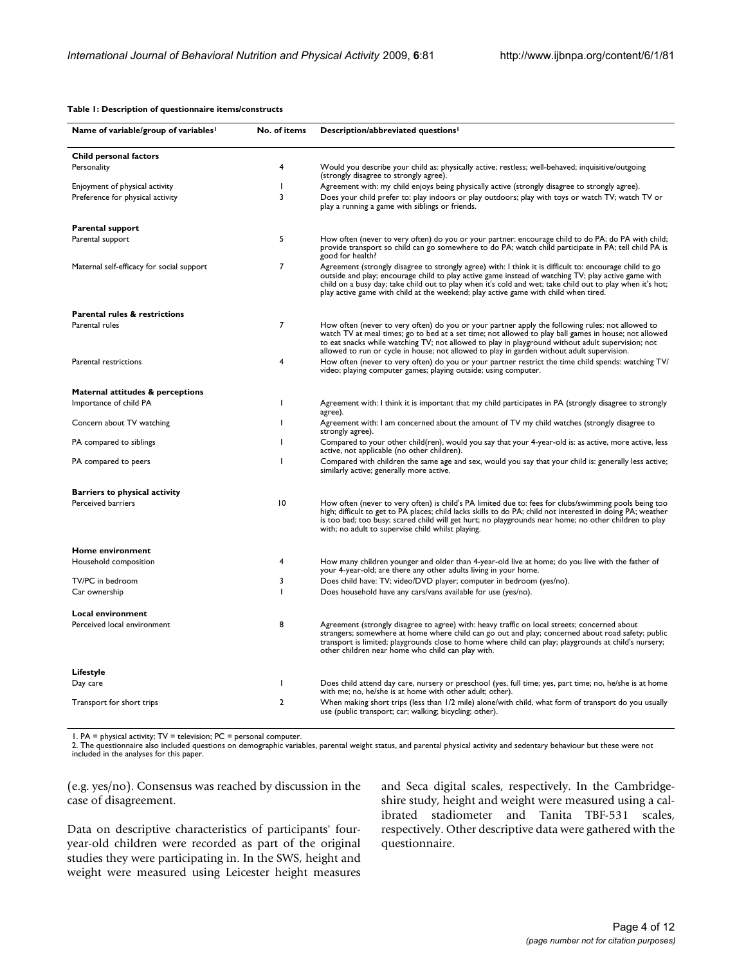#### **Table 1: Description of questionnaire items/constructs**

| Name of variable/group of variables       | No. of items    | Description/abbreviated questions <sup>1</sup>                                                                                                                                                                                                                                                                                                                                                                     |  |
|-------------------------------------------|-----------------|--------------------------------------------------------------------------------------------------------------------------------------------------------------------------------------------------------------------------------------------------------------------------------------------------------------------------------------------------------------------------------------------------------------------|--|
| Child personal factors                    |                 |                                                                                                                                                                                                                                                                                                                                                                                                                    |  |
| Personality                               | 4               | Would you describe your child as: physically active; restless; well-behaved; inquisitive/outgoing<br>(strongly disagree to strongly agree).                                                                                                                                                                                                                                                                        |  |
| Enjoyment of physical activity            | <sup>1</sup>    | Agreement with: my child enjoys being physically active (strongly disagree to strongly agree).                                                                                                                                                                                                                                                                                                                     |  |
| Preference for physical activity          | 3               | Does your child prefer to: play indoors or play outdoors; play with toys or watch TV; watch TV or<br>play a running a game with siblings or friends.                                                                                                                                                                                                                                                               |  |
| <b>Parental support</b>                   |                 |                                                                                                                                                                                                                                                                                                                                                                                                                    |  |
| Parental support                          | 5               | How often (never to very often) do you or your partner: encourage child to do PA; do PA with child;<br>provide transport so child can go somewhere to do PA; watch child participate in PA; tell child PA is<br>good for health?                                                                                                                                                                                   |  |
| Maternal self-efficacy for social support | 7               | Agreement (strongly disagree to strongly agree) with: I think it is difficult to: encourage child to go<br>outside and play; encourage child to play active game instead of watching TV; play active game with<br>child on a busy day; take child out to play when it's cold and wet; take child out to play when it's hot;<br>play active game with child at the weekend; play active game with child when tired. |  |
| <b>Parental rules &amp; restrictions</b>  |                 |                                                                                                                                                                                                                                                                                                                                                                                                                    |  |
| Parental rules                            | $\overline{7}$  | How often (never to very often) do you or your partner apply the following rules: not allowed to<br>watch TV at meal times; go to bed at a set time; not allowed to play ball games in house; not allowed<br>to eat snacks while watching TV; not allowed to play in playground without adult supervision; not<br>allowed to run or cycle in house; not allowed to play in garden without adult supervision.       |  |
| Parental restrictions                     | 4               | How often (never to very often) do you or your partner restrict the time child spends: watching TV/<br>video; playing computer games; playing outside; using computer.                                                                                                                                                                                                                                             |  |
| Maternal attitudes & perceptions          |                 |                                                                                                                                                                                                                                                                                                                                                                                                                    |  |
| Importance of child PA                    | T               | Agreement with: I think it is important that my child participates in PA (strongly disagree to strongly<br>agree).                                                                                                                                                                                                                                                                                                 |  |
| Concern about TV watching                 | -1              | Agreement with: I am concerned about the amount of TV my child watches (strongly disagree to<br>strongly agree).                                                                                                                                                                                                                                                                                                   |  |
| PA compared to siblings                   | T               | Compared to your other child(ren), would you say that your 4-year-old is: as active, more active, less<br>active, not applicable (no other children).                                                                                                                                                                                                                                                              |  |
| PA compared to peers                      | <sup>1</sup>    | Compared with children the same age and sex, would you say that your child is: generally less active;<br>similarly active; generally more active.                                                                                                                                                                                                                                                                  |  |
| <b>Barriers to physical activity</b>      |                 |                                                                                                                                                                                                                                                                                                                                                                                                                    |  |
| <b>Perceived barriers</b>                 | $\overline{10}$ | How often (never to very often) is child's PA limited due to: fees for clubs/swimming pools being too<br>high; difficult to get to PA places; child lacks skills to do PA; child not interested in doing PA; weather<br>is too bad; too busy; scared child will get hurt; no playgrounds near home; no other children to play<br>with; no adult to supervise child whilst playing.                                 |  |
| Home environment                          |                 |                                                                                                                                                                                                                                                                                                                                                                                                                    |  |
| Household composition                     | 4               | How many children younger and older than 4-year-old live at home; do you live with the father of<br>your 4-year-old; are there any other adults living in your home.                                                                                                                                                                                                                                               |  |
| TV/PC in bedroom                          | 3               | Does child have: TV; video/DVD player; computer in bedroom (yes/no).                                                                                                                                                                                                                                                                                                                                               |  |
| Car ownership                             | T               | Does household have any cars/vans available for use (yes/no).                                                                                                                                                                                                                                                                                                                                                      |  |
| <b>Local environment</b>                  |                 |                                                                                                                                                                                                                                                                                                                                                                                                                    |  |
| Perceived local environment               | 8               | Agreement (strongly disagree to agree) with: heavy traffic on local streets; concerned about<br>strangers; somewhere at home where child can go out and play; concerned about road safety; public<br>transport is limited; playgrounds close to home where child can play; playgrounds at child's nursery;<br>other children near home who child can play with.                                                    |  |
| Lifestyle                                 |                 |                                                                                                                                                                                                                                                                                                                                                                                                                    |  |
| Day care                                  | J.              | Does child attend day care, nursery or preschool (yes, full time; yes, part time; no, he/she is at home<br>with me; no, he/she is at home with other adult; other).                                                                                                                                                                                                                                                |  |
| Transport for short trips                 | $\overline{2}$  | When making short trips (less than 1/2 mile) alone/with child, what form of transport do you usually<br>use (public transport; car; walking; bicycling; other).                                                                                                                                                                                                                                                    |  |

1. PA = physical activity; TV = television; PC = personal computer.

2. The questionnaire also included questions on demographic variables, parental weight status, and parental physical activity and sedentary behaviour but these were not included in the analyses for this paper.

(e.g. yes/no). Consensus was reached by discussion in the case of disagreement.

Data on descriptive characteristics of participants' fouryear-old children were recorded as part of the original studies they were participating in. In the SWS, height and weight were measured using Leicester height measures

and Seca digital scales, respectively. In the Cambridgeshire study, height and weight were measured using a calibrated stadiometer and Tanita TBF-531 scales, respectively. Other descriptive data were gathered with the questionnaire.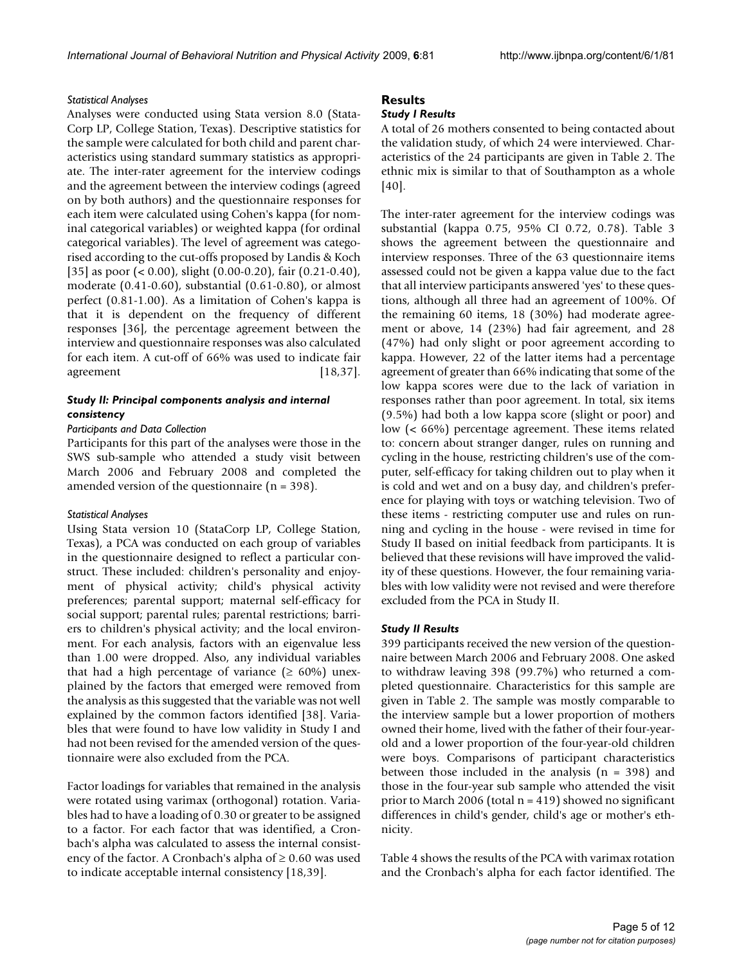### *Statistical Analyses*

Analyses were conducted using Stata version 8.0 (Stata-Corp LP, College Station, Texas). Descriptive statistics for the sample were calculated for both child and parent characteristics using standard summary statistics as appropriate. The inter-rater agreement for the interview codings and the agreement between the interview codings (agreed on by both authors) and the questionnaire responses for each item were calculated using Cohen's kappa (for nominal categorical variables) or weighted kappa (for ordinal categorical variables). The level of agreement was categorised according to the cut-offs proposed by Landis & Koch [35] as poor (< 0.00), slight (0.00-0.20), fair (0.21-0.40), moderate (0.41-0.60), substantial (0.61-0.80), or almost perfect (0.81-1.00). As a limitation of Cohen's kappa is that it is dependent on the frequency of different responses [36], the percentage agreement between the interview and questionnaire responses was also calculated for each item. A cut-off of 66% was used to indicate fair agreement [18,37].

# *Study II: Principal components analysis and internal consistency*

# *Participants and Data Collection*

Participants for this part of the analyses were those in the SWS sub-sample who attended a study visit between March 2006 and February 2008 and completed the amended version of the questionnaire (n = 398).

#### *Statistical Analyses*

Using Stata version 10 (StataCorp LP, College Station, Texas), a PCA was conducted on each group of variables in the questionnaire designed to reflect a particular construct. These included: children's personality and enjoyment of physical activity; child's physical activity preferences; parental support; maternal self-efficacy for social support; parental rules; parental restrictions; barriers to children's physical activity; and the local environment. For each analysis, factors with an eigenvalue less than 1.00 were dropped. Also, any individual variables that had a high percentage of variance ( $\geq 60\%$ ) unexplained by the factors that emerged were removed from the analysis as this suggested that the variable was not well explained by the common factors identified [38]. Variables that were found to have low validity in Study I and had not been revised for the amended version of the questionnaire were also excluded from the PCA.

Factor loadings for variables that remained in the analysis were rotated using varimax (orthogonal) rotation. Variables had to have a loading of 0.30 or greater to be assigned to a factor. For each factor that was identified, a Cronbach's alpha was calculated to assess the internal consistency of the factor. A Cronbach's alpha of  $\geq 0.60$  was used to indicate acceptable internal consistency [18,39].

# **Results**

#### *Study I Results*

A total of 26 mothers consented to being contacted about the validation study, of which 24 were interviewed. Characteristics of the 24 participants are given in Table 2. The ethnic mix is similar to that of Southampton as a whole [40].

The inter-rater agreement for the interview codings was substantial (kappa 0.75, 95% CI 0.72, 0.78). Table 3 shows the agreement between the questionnaire and interview responses. Three of the 63 questionnaire items assessed could not be given a kappa value due to the fact that all interview participants answered 'yes' to these questions, although all three had an agreement of 100%. Of the remaining 60 items, 18 (30%) had moderate agreement or above, 14 (23%) had fair agreement, and 28 (47%) had only slight or poor agreement according to kappa. However, 22 of the latter items had a percentage agreement of greater than 66% indicating that some of the low kappa scores were due to the lack of variation in responses rather than poor agreement. In total, six items (9.5%) had both a low kappa score (slight or poor) and low (< 66%) percentage agreement. These items related to: concern about stranger danger, rules on running and cycling in the house, restricting children's use of the computer, self-efficacy for taking children out to play when it is cold and wet and on a busy day, and children's preference for playing with toys or watching television. Two of these items - restricting computer use and rules on running and cycling in the house - were revised in time for Study II based on initial feedback from participants. It is believed that these revisions will have improved the validity of these questions. However, the four remaining variables with low validity were not revised and were therefore excluded from the PCA in Study II.

#### *Study II Results*

399 participants received the new version of the questionnaire between March 2006 and February 2008. One asked to withdraw leaving 398 (99.7%) who returned a completed questionnaire. Characteristics for this sample are given in Table 2. The sample was mostly comparable to the interview sample but a lower proportion of mothers owned their home, lived with the father of their four-yearold and a lower proportion of the four-year-old children were boys. Comparisons of participant characteristics between those included in the analysis  $(n = 398)$  and those in the four-year sub sample who attended the visit prior to March 2006 (total n = 419) showed no significant differences in child's gender, child's age or mother's ethnicity.

Table 4 shows the results of the PCA with varimax rotation and the Cronbach's alpha for each factor identified. The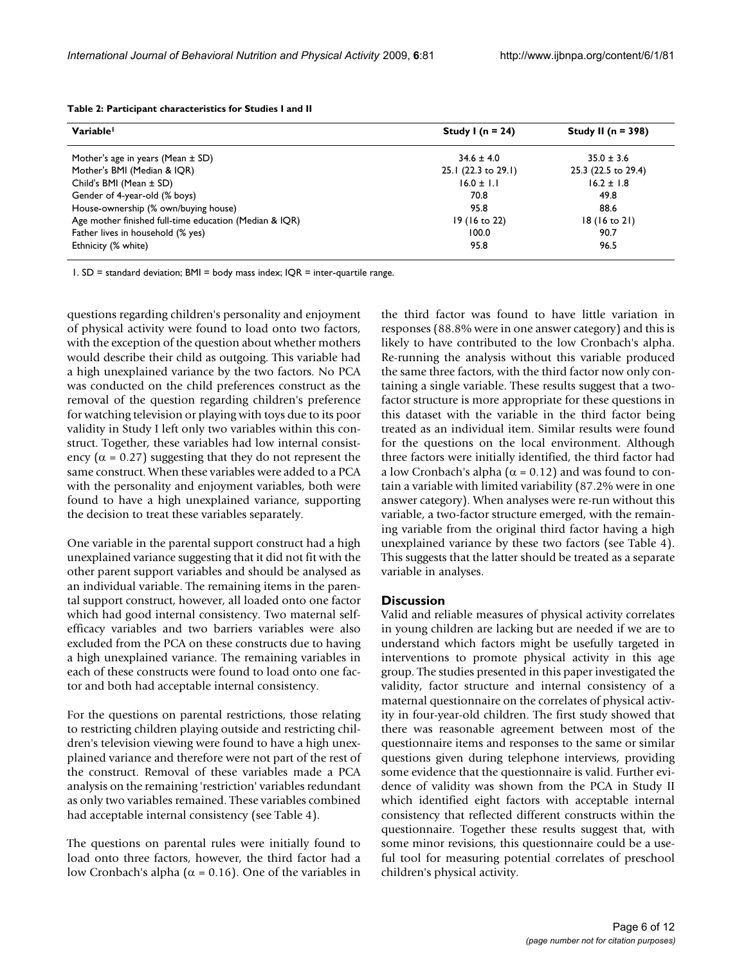| Variable                                               | Study I ( $n = 24$ ) | Study II ( $n = 398$ )  |  |
|--------------------------------------------------------|----------------------|-------------------------|--|
| Mother's age in years (Mean $\pm$ SD)                  | $34.6 \pm 4.0$       | $35.0 \pm 3.6$          |  |
| Mother's BMI (Median & IQR)                            | 25.1 (22.3 to 29.1)  | 25.3 (22.5 to 29.4)     |  |
| Child's BMI (Mean ± SD)                                | $16.0 \pm 1.1$       | $16.2 \pm 1.8$          |  |
| Gender of 4-year-old (% boys)                          | 70.8                 | 49.8                    |  |
| House-ownership (% own/buying house)                   | 95.8                 | 88.6                    |  |
| Age mother finished full-time education (Median & IQR) | 19 (16 to 22)        | $18(16 \text{ to } 21)$ |  |
| Father lives in household (% yes)                      | 100.0                | 90.7                    |  |
| Ethnicity (% white)                                    | 95.8                 | 96.5                    |  |

**Table 2: Participant characteristics for Studies I and II**

1. SD = standard deviation; BMI = body mass index; IQR = inter-quartile range.

questions regarding children's personality and enjoyment of physical activity were found to load onto two factors, with the exception of the question about whether mothers would describe their child as outgoing. This variable had a high unexplained variance by the two factors. No PCA was conducted on the child preferences construct as the removal of the question regarding children's preference for watching television or playing with toys due to its poor validity in Study I left only two variables within this construct. Together, these variables had low internal consistency ( $\alpha$  = 0.27) suggesting that they do not represent the same construct. When these variables were added to a PCA with the personality and enjoyment variables, both were found to have a high unexplained variance, supporting the decision to treat these variables separately.

One variable in the parental support construct had a high unexplained variance suggesting that it did not fit with the other parent support variables and should be analysed as an individual variable. The remaining items in the parental support construct, however, all loaded onto one factor which had good internal consistency. Two maternal selfefficacy variables and two barriers variables were also excluded from the PCA on these constructs due to having a high unexplained variance. The remaining variables in each of these constructs were found to load onto one factor and both had acceptable internal consistency.

For the questions on parental restrictions, those relating to restricting children playing outside and restricting children's television viewing were found to have a high unexplained variance and therefore were not part of the rest of the construct. Removal of these variables made a PCA analysis on the remaining 'restriction' variables redundant as only two variables remained. These variables combined had acceptable internal consistency (see Table 4).

The questions on parental rules were initially found to load onto three factors, however, the third factor had a low Cronbach's alpha ( $\alpha$  = 0.16). One of the variables in

the third factor was found to have little variation in responses (88.8% were in one answer category) and this is likely to have contributed to the low Cronbach's alpha. Re-running the analysis without this variable produced the same three factors, with the third factor now only containing a single variable. These results suggest that a twofactor structure is more appropriate for these questions in this dataset with the variable in the third factor being treated as an individual item. Similar results were found for the questions on the local environment. Although three factors were initially identified, the third factor had a low Cronbach's alpha ( $\alpha$  = 0.12) and was found to contain a variable with limited variability (87.2% were in one answer category). When analyses were re-run without this variable, a two-factor structure emerged, with the remaining variable from the original third factor having a high unexplained variance by these two factors (see Table 4). This suggests that the latter should be treated as a separate variable in analyses.

### **Discussion**

Valid and reliable measures of physical activity correlates in young children are lacking but are needed if we are to understand which factors might be usefully targeted in interventions to promote physical activity in this age group. The studies presented in this paper investigated the validity, factor structure and internal consistency of a maternal questionnaire on the correlates of physical activity in four-year-old children. The first study showed that there was reasonable agreement between most of the questionnaire items and responses to the same or similar questions given during telephone interviews, providing some evidence that the questionnaire is valid. Further evidence of validity was shown from the PCA in Study II which identified eight factors with acceptable internal consistency that reflected different constructs within the questionnaire. Together these results suggest that, with some minor revisions, this questionnaire could be a useful tool for measuring potential correlates of preschool children's physical activity.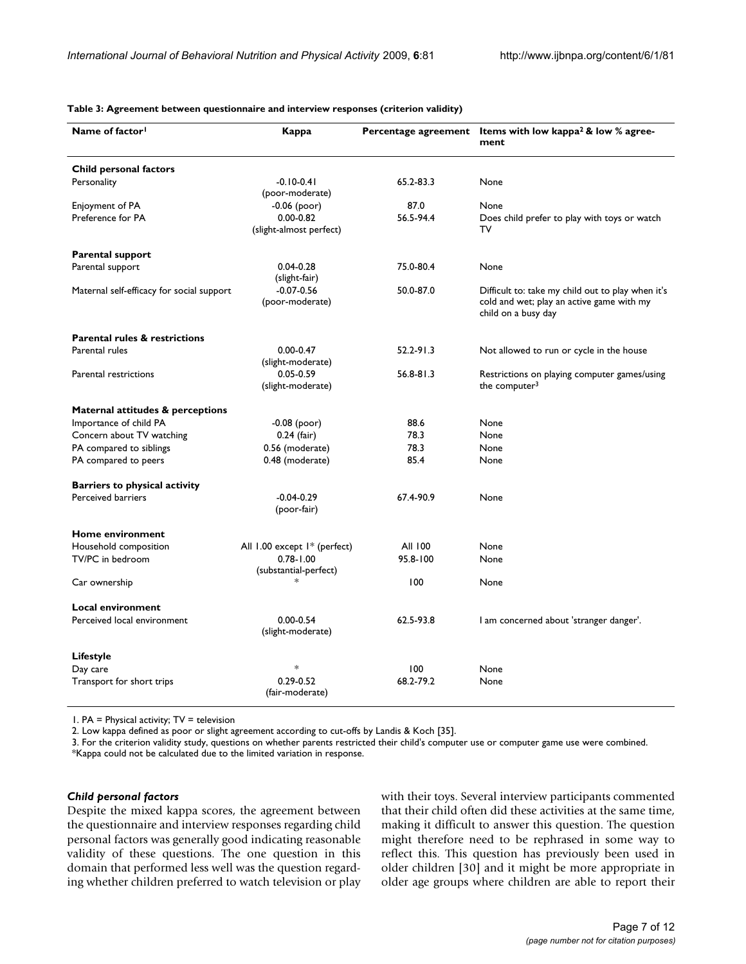| Name of factor <sup>1</sup>               | Kappa                                    |               | Percentage agreement Items with low kappa <sup>2</sup> & low % agree-<br>ment                                         |  |
|-------------------------------------------|------------------------------------------|---------------|-----------------------------------------------------------------------------------------------------------------------|--|
| Child personal factors                    |                                          |               |                                                                                                                       |  |
| Personality                               | $-0.10 - 0.41$<br>(poor-moderate)        | 65.2-83.3     | None                                                                                                                  |  |
| Enjoyment of PA                           | $-0.06$ (poor)                           | 87.0          | None                                                                                                                  |  |
| Preference for PA                         | $0.00 - 0.82$<br>(slight-almost perfect) | 56.5-94.4     | Does child prefer to play with toys or watch<br>T٧                                                                    |  |
| <b>Parental support</b>                   |                                          |               |                                                                                                                       |  |
| Parental support                          | $0.04 - 0.28$<br>(slight-fair)           | 75.0-80.4     | None                                                                                                                  |  |
| Maternal self-efficacy for social support | $-0.07 - 0.56$<br>(poor-moderate)        | 50.0-87.0     | Difficult to: take my child out to play when it's<br>cold and wet; play an active game with my<br>child on a busy day |  |
| <b>Parental rules &amp; restrictions</b>  |                                          |               |                                                                                                                       |  |
| Parental rules                            | $0.00 - 0.47$<br>(slight-moderate)       | $52.2 - 91.3$ | Not allowed to run or cycle in the house                                                                              |  |
| Parental restrictions                     | $0.05 - 0.59$<br>(slight-moderate)       | 56.8-81.3     | Restrictions on playing computer games/using<br>the computer $3$                                                      |  |
| Maternal attitudes & perceptions          |                                          |               |                                                                                                                       |  |
| Importance of child PA                    | $-0.08$ (poor)                           | 88.6          | None                                                                                                                  |  |
| Concern about TV watching                 | $0.24$ (fair)                            | 78.3          | None                                                                                                                  |  |
| PA compared to siblings                   | 0.56 (moderate)                          | 78.3          | None                                                                                                                  |  |
| PA compared to peers                      | 0.48 (moderate)                          | 85.4          | None                                                                                                                  |  |
| <b>Barriers to physical activity</b>      |                                          |               |                                                                                                                       |  |
| Perceived barriers                        | $-0.04 - 0.29$<br>(poor-fair)            | 67.4-90.9     | None                                                                                                                  |  |
| Home environment                          |                                          |               |                                                                                                                       |  |
| Household composition                     | All 1.00 except 1* (perfect)             | All 100       | None                                                                                                                  |  |
| TV/PC in bedroom                          | $0.78 - 1.00$<br>(substantial-perfect)   | 95.8-100      | None                                                                                                                  |  |
| Car ownership                             |                                          | 100           | None                                                                                                                  |  |
| <b>Local environment</b>                  |                                          |               |                                                                                                                       |  |
| Perceived local environment               | $0.00 - 0.54$<br>(slight-moderate)       | 62.5-93.8     | I am concerned about 'stranger danger'.                                                                               |  |
| Lifestyle                                 |                                          |               |                                                                                                                       |  |
| Day care                                  | $\ast$                                   | 100           | None                                                                                                                  |  |
| Transport for short trips                 | $0.29 - 0.52$<br>(fair-moderate)         | 68.2-79.2     | None                                                                                                                  |  |

**Table 3: Agreement between questionnaire and interview responses (criterion validity)**

1. PA = Physical activity; TV = television

2. Low kappa defined as poor or slight agreement according to cut-offs by Landis & Koch [35].

3. For the criterion validity study, questions on whether parents restricted their child's computer use or computer game use were combined.

\*Kappa could not be calculated due to the limited variation in response.

#### *Child personal factors*

Despite the mixed kappa scores, the agreement between the questionnaire and interview responses regarding child personal factors was generally good indicating reasonable validity of these questions. The one question in this domain that performed less well was the question regarding whether children preferred to watch television or play with their toys. Several interview participants commented that their child often did these activities at the same time, making it difficult to answer this question. The question might therefore need to be rephrased in some way to reflect this. This question has previously been used in older children [30] and it might be more appropriate in older age groups where children are able to report their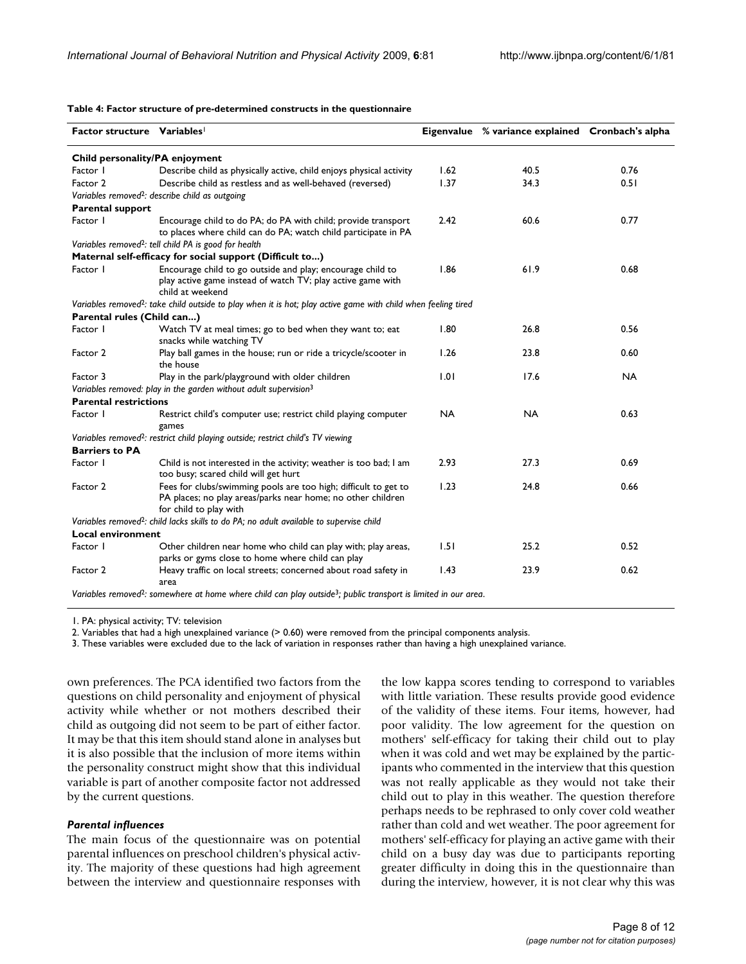**Table 4: Factor structure of pre-determined constructs in the questionnaire**

| Factor structure Variables                                                                   |                                                                                                                                                          |           | Eigenvalue % variance explained Cronbach's alpha |           |  |  |  |
|----------------------------------------------------------------------------------------------|----------------------------------------------------------------------------------------------------------------------------------------------------------|-----------|--------------------------------------------------|-----------|--|--|--|
| Child personality/PA enjoyment                                                               |                                                                                                                                                          |           |                                                  |           |  |  |  |
| Factor I                                                                                     | Describe child as physically active, child enjoys physical activity                                                                                      | 1.62      | 40.5                                             | 0.76      |  |  |  |
| Factor 2                                                                                     | Describe child as restless and as well-behaved (reversed)                                                                                                | 1.37      | 34.3                                             | 0.51      |  |  |  |
|                                                                                              | Variables removed <sup>2</sup> : describe child as outgoing                                                                                              |           |                                                  |           |  |  |  |
| <b>Parental support</b>                                                                      |                                                                                                                                                          |           |                                                  |           |  |  |  |
| Factor I                                                                                     | Encourage child to do PA; do PA with child; provide transport<br>to places where child can do PA; watch child participate in PA                          | 2.42      | 60.6                                             | 0.77      |  |  |  |
|                                                                                              | Variables removed <sup>2</sup> : tell child PA is good for health                                                                                        |           |                                                  |           |  |  |  |
|                                                                                              | Maternal self-efficacy for social support (Difficult to)                                                                                                 |           |                                                  |           |  |  |  |
| Factor I                                                                                     | Encourage child to go outside and play; encourage child to<br>play active game instead of watch TV; play active game with<br>child at weekend            | 1.86      | 61.9                                             | 0.68      |  |  |  |
|                                                                                              | Variables removed <sup>2</sup> : take child outside to play when it is hot; play active game with child when feeling tired                               |           |                                                  |           |  |  |  |
| Parental rules (Child can)                                                                   |                                                                                                                                                          |           |                                                  |           |  |  |  |
| Factor I                                                                                     | Watch TV at meal times; go to bed when they want to; eat<br>snacks while watching TV                                                                     | 1.80      | 26.8                                             | 0.56      |  |  |  |
| Factor 2                                                                                     | Play ball games in the house; run or ride a tricycle/scooter in<br>the house                                                                             | 1.26      | 23.8                                             | 0.60      |  |  |  |
| Factor 3                                                                                     | Play in the park/playground with older children                                                                                                          | 1.01      | 17.6                                             | <b>NA</b> |  |  |  |
|                                                                                              | Variables removed: play in the garden without adult supervision <sup>3</sup>                                                                             |           |                                                  |           |  |  |  |
| <b>Parental restrictions</b>                                                                 |                                                                                                                                                          |           |                                                  |           |  |  |  |
| Factor I                                                                                     | Restrict child's computer use; restrict child playing computer<br>games                                                                                  | <b>NA</b> | <b>NA</b>                                        | 0.63      |  |  |  |
| Variables removed <sup>2</sup> : restrict child playing outside; restrict child's TV viewing |                                                                                                                                                          |           |                                                  |           |  |  |  |
| <b>Barriers to PA</b>                                                                        |                                                                                                                                                          |           |                                                  |           |  |  |  |
| Factor I                                                                                     | Child is not interested in the activity; weather is too bad; I am<br>too busy; scared child will get hurt                                                | 2.93      | 27.3                                             | 0.69      |  |  |  |
| Factor 2                                                                                     | Fees for clubs/swimming pools are too high; difficult to get to<br>PA places; no play areas/parks near home; no other children<br>for child to play with | 1.23      | 24.8                                             | 0.66      |  |  |  |
|                                                                                              | Variables removed <sup>2</sup> : child lacks skills to do PA; no adult available to supervise child                                                      |           |                                                  |           |  |  |  |
| <b>Local environment</b>                                                                     |                                                                                                                                                          |           |                                                  |           |  |  |  |
| Factor I                                                                                     | Other children near home who child can play with; play areas,<br>parks or gyms close to home where child can play                                        | 1.51      | 25.2                                             | 0.52      |  |  |  |
| Factor 2                                                                                     | Heavy traffic on local streets; concerned about road safety in<br>area                                                                                   | 1.43      | 23.9                                             | 0.62      |  |  |  |
|                                                                                              | Variables removed <sup>2</sup> : somewhere at home where child can play outside <sup>3</sup> ; public transport is limited in our area.                  |           |                                                  |           |  |  |  |

1. PA: physical activity; TV: television

2. Variables that had a high unexplained variance (> 0.60) were removed from the principal components analysis.

3. These variables were excluded due to the lack of variation in responses rather than having a high unexplained variance.

own preferences. The PCA identified two factors from the questions on child personality and enjoyment of physical activity while whether or not mothers described their child as outgoing did not seem to be part of either factor. It may be that this item should stand alone in analyses but it is also possible that the inclusion of more items within the personality construct might show that this individual variable is part of another composite factor not addressed by the current questions.

#### *Parental influences*

The main focus of the questionnaire was on potential parental influences on preschool children's physical activity. The majority of these questions had high agreement between the interview and questionnaire responses with the low kappa scores tending to correspond to variables with little variation. These results provide good evidence of the validity of these items. Four items, however, had poor validity. The low agreement for the question on mothers' self-efficacy for taking their child out to play when it was cold and wet may be explained by the participants who commented in the interview that this question was not really applicable as they would not take their child out to play in this weather. The question therefore perhaps needs to be rephrased to only cover cold weather rather than cold and wet weather. The poor agreement for mothers' self-efficacy for playing an active game with their child on a busy day was due to participants reporting greater difficulty in doing this in the questionnaire than during the interview, however, it is not clear why this was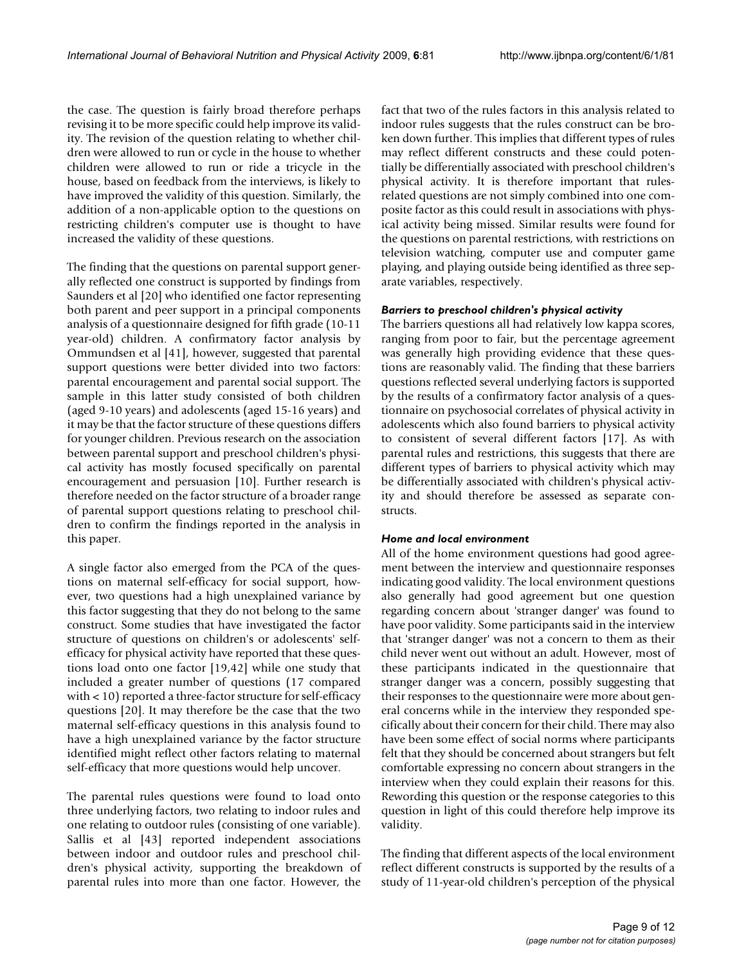the case. The question is fairly broad therefore perhaps revising it to be more specific could help improve its validity. The revision of the question relating to whether children were allowed to run or cycle in the house to whether children were allowed to run or ride a tricycle in the house, based on feedback from the interviews, is likely to have improved the validity of this question. Similarly, the addition of a non-applicable option to the questions on restricting children's computer use is thought to have increased the validity of these questions.

The finding that the questions on parental support generally reflected one construct is supported by findings from Saunders et al [20] who identified one factor representing both parent and peer support in a principal components analysis of a questionnaire designed for fifth grade (10-11 year-old) children. A confirmatory factor analysis by Ommundsen et al [41], however, suggested that parental support questions were better divided into two factors: parental encouragement and parental social support. The sample in this latter study consisted of both children (aged 9-10 years) and adolescents (aged 15-16 years) and it may be that the factor structure of these questions differs for younger children. Previous research on the association between parental support and preschool children's physical activity has mostly focused specifically on parental encouragement and persuasion [10]. Further research is therefore needed on the factor structure of a broader range of parental support questions relating to preschool children to confirm the findings reported in the analysis in this paper.

A single factor also emerged from the PCA of the questions on maternal self-efficacy for social support, however, two questions had a high unexplained variance by this factor suggesting that they do not belong to the same construct. Some studies that have investigated the factor structure of questions on children's or adolescents' selfefficacy for physical activity have reported that these questions load onto one factor [19,42] while one study that included a greater number of questions (17 compared with < 10) reported a three-factor structure for self-efficacy questions [20]. It may therefore be the case that the two maternal self-efficacy questions in this analysis found to have a high unexplained variance by the factor structure identified might reflect other factors relating to maternal self-efficacy that more questions would help uncover.

The parental rules questions were found to load onto three underlying factors, two relating to indoor rules and one relating to outdoor rules (consisting of one variable). Sallis et al [43] reported independent associations between indoor and outdoor rules and preschool children's physical activity, supporting the breakdown of parental rules into more than one factor. However, the fact that two of the rules factors in this analysis related to indoor rules suggests that the rules construct can be broken down further. This implies that different types of rules may reflect different constructs and these could potentially be differentially associated with preschool children's physical activity. It is therefore important that rulesrelated questions are not simply combined into one composite factor as this could result in associations with physical activity being missed. Similar results were found for the questions on parental restrictions, with restrictions on television watching, computer use and computer game playing, and playing outside being identified as three separate variables, respectively.

# *Barriers to preschool children's physical activity*

The barriers questions all had relatively low kappa scores, ranging from poor to fair, but the percentage agreement was generally high providing evidence that these questions are reasonably valid. The finding that these barriers questions reflected several underlying factors is supported by the results of a confirmatory factor analysis of a questionnaire on psychosocial correlates of physical activity in adolescents which also found barriers to physical activity to consistent of several different factors [17]. As with parental rules and restrictions, this suggests that there are different types of barriers to physical activity which may be differentially associated with children's physical activity and should therefore be assessed as separate constructs.

# *Home and local environment*

All of the home environment questions had good agreement between the interview and questionnaire responses indicating good validity. The local environment questions also generally had good agreement but one question regarding concern about 'stranger danger' was found to have poor validity. Some participants said in the interview that 'stranger danger' was not a concern to them as their child never went out without an adult. However, most of these participants indicated in the questionnaire that stranger danger was a concern, possibly suggesting that their responses to the questionnaire were more about general concerns while in the interview they responded specifically about their concern for their child. There may also have been some effect of social norms where participants felt that they should be concerned about strangers but felt comfortable expressing no concern about strangers in the interview when they could explain their reasons for this. Rewording this question or the response categories to this question in light of this could therefore help improve its validity.

The finding that different aspects of the local environment reflect different constructs is supported by the results of a study of 11-year-old children's perception of the physical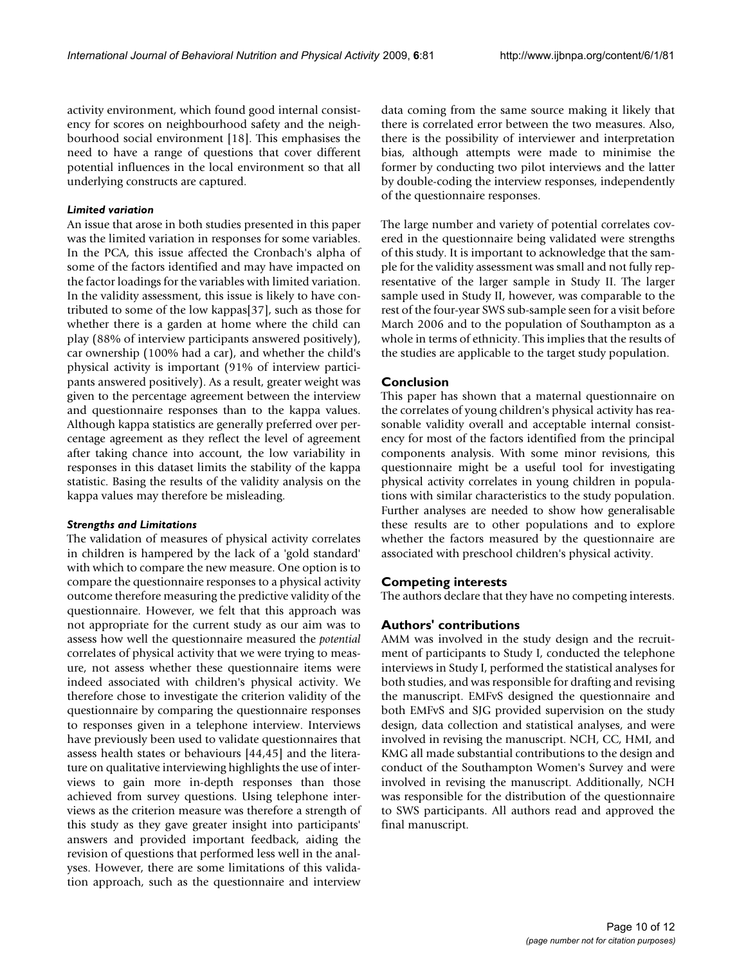activity environment, which found good internal consistency for scores on neighbourhood safety and the neighbourhood social environment [18]. This emphasises the need to have a range of questions that cover different potential influences in the local environment so that all underlying constructs are captured.

## *Limited variation*

An issue that arose in both studies presented in this paper was the limited variation in responses for some variables. In the PCA, this issue affected the Cronbach's alpha of some of the factors identified and may have impacted on the factor loadings for the variables with limited variation. In the validity assessment, this issue is likely to have contributed to some of the low kappas[37], such as those for whether there is a garden at home where the child can play (88% of interview participants answered positively), car ownership (100% had a car), and whether the child's physical activity is important (91% of interview participants answered positively). As a result, greater weight was given to the percentage agreement between the interview and questionnaire responses than to the kappa values. Although kappa statistics are generally preferred over percentage agreement as they reflect the level of agreement after taking chance into account, the low variability in responses in this dataset limits the stability of the kappa statistic. Basing the results of the validity analysis on the kappa values may therefore be misleading.

### *Strengths and Limitations*

The validation of measures of physical activity correlates in children is hampered by the lack of a 'gold standard' with which to compare the new measure. One option is to compare the questionnaire responses to a physical activity outcome therefore measuring the predictive validity of the questionnaire. However, we felt that this approach was not appropriate for the current study as our aim was to assess how well the questionnaire measured the *potential* correlates of physical activity that we were trying to measure, not assess whether these questionnaire items were indeed associated with children's physical activity. We therefore chose to investigate the criterion validity of the questionnaire by comparing the questionnaire responses to responses given in a telephone interview. Interviews have previously been used to validate questionnaires that assess health states or behaviours [44,45] and the literature on qualitative interviewing highlights the use of interviews to gain more in-depth responses than those achieved from survey questions. Using telephone interviews as the criterion measure was therefore a strength of this study as they gave greater insight into participants' answers and provided important feedback, aiding the revision of questions that performed less well in the analyses. However, there are some limitations of this validation approach, such as the questionnaire and interview

data coming from the same source making it likely that there is correlated error between the two measures. Also, there is the possibility of interviewer and interpretation bias, although attempts were made to minimise the former by conducting two pilot interviews and the latter by double-coding the interview responses, independently of the questionnaire responses.

The large number and variety of potential correlates covered in the questionnaire being validated were strengths of this study. It is important to acknowledge that the sample for the validity assessment was small and not fully representative of the larger sample in Study II. The larger sample used in Study II, however, was comparable to the rest of the four-year SWS sub-sample seen for a visit before March 2006 and to the population of Southampton as a whole in terms of ethnicity. This implies that the results of the studies are applicable to the target study population.

# **Conclusion**

This paper has shown that a maternal questionnaire on the correlates of young children's physical activity has reasonable validity overall and acceptable internal consistency for most of the factors identified from the principal components analysis. With some minor revisions, this questionnaire might be a useful tool for investigating physical activity correlates in young children in populations with similar characteristics to the study population. Further analyses are needed to show how generalisable these results are to other populations and to explore whether the factors measured by the questionnaire are associated with preschool children's physical activity.

# **Competing interests**

The authors declare that they have no competing interests.

# **Authors' contributions**

AMM was involved in the study design and the recruitment of participants to Study I, conducted the telephone interviews in Study I, performed the statistical analyses for both studies, and was responsible for drafting and revising the manuscript. EMFvS designed the questionnaire and both EMFvS and SJG provided supervision on the study design, data collection and statistical analyses, and were involved in revising the manuscript. NCH, CC, HMI, and KMG all made substantial contributions to the design and conduct of the Southampton Women's Survey and were involved in revising the manuscript. Additionally, NCH was responsible for the distribution of the questionnaire to SWS participants. All authors read and approved the final manuscript.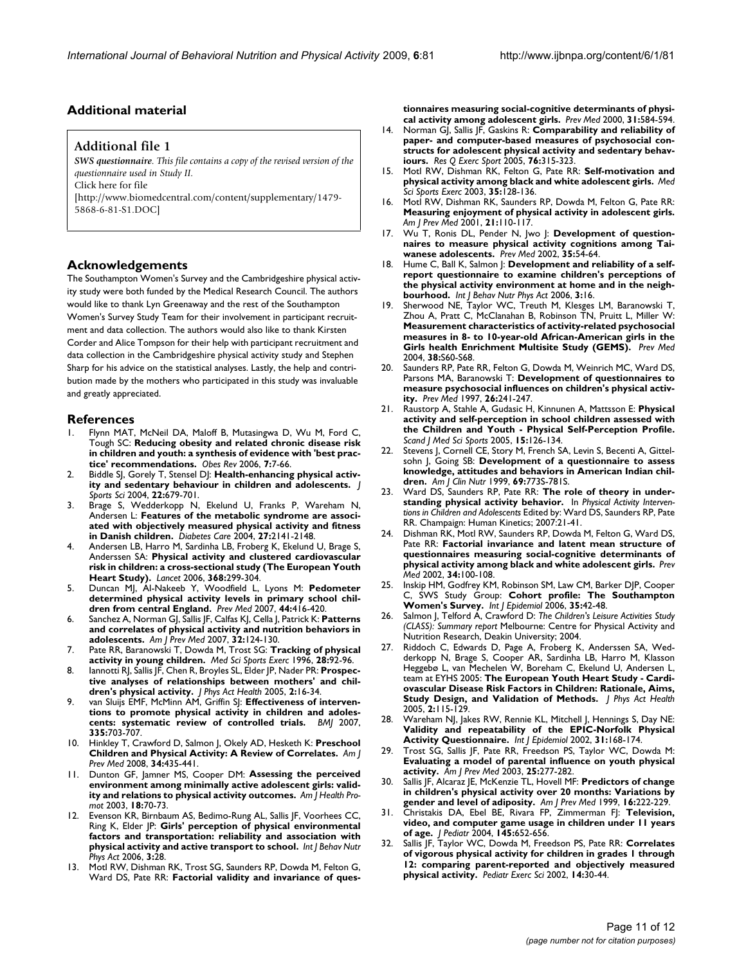# **Additional material**

#### **Additional file 1**

*SWS questionnaire. This file contains a copy of the revised version of the questionnaire used in Study II.* Click here for file [\[http://www.biomedcentral.com/content/supplementary/1479-](http://www.biomedcentral.com/content/supplementary/1479-5868-6-81-S1.DOC) 5868-6-81-S1.DOC]

### **Acknowledgements**

The Southampton Women's Survey and the Cambridgeshire physical activity study were both funded by the Medical Research Council. The authors would like to thank Lyn Greenaway and the rest of the Southampton Women's Survey Study Team for their involvement in participant recruitment and data collection. The authors would also like to thank Kirsten Corder and Alice Tompson for their help with participant recruitment and data collection in the Cambridgeshire physical activity study and Stephen Sharp for his advice on the statistical analyses. Lastly, the help and contribution made by the mothers who participated in this study was invaluable and greatly appreciated.

#### **References**

- Flynn MAT, McNeil DA, Maloff B, Mutasingwa D, Wu M, Ford C, Tough SC: **[Reducing obesity and related chronic disease risk](http://www.ncbi.nlm.nih.gov/entrez/query.fcgi?cmd=Retrieve&db=PubMed&dopt=Abstract&list_uids=16371076) [in children and youth: a synthesis of evidence with 'best prac](http://www.ncbi.nlm.nih.gov/entrez/query.fcgi?cmd=Retrieve&db=PubMed&dopt=Abstract&list_uids=16371076)[tice' recommendations.](http://www.ncbi.nlm.nih.gov/entrez/query.fcgi?cmd=Retrieve&db=PubMed&dopt=Abstract&list_uids=16371076)** *Obes Rev* 2006, **7:**7-66.
- Biddle SJ, Gorely T, Stensel DJ: [Health-enhancing physical activ](http://www.ncbi.nlm.nih.gov/entrez/query.fcgi?cmd=Retrieve&db=PubMed&dopt=Abstract&list_uids=15370482)**[ity and sedentary behaviour in children and adolescents.](http://www.ncbi.nlm.nih.gov/entrez/query.fcgi?cmd=Retrieve&db=PubMed&dopt=Abstract&list_uids=15370482)** *J Sports Sci* 2004, **22:**679-701.
- Brage S, Wedderkopp N, Ekelund U, Franks P, Wareham N, Andersen L: **[Features of the metabolic syndrome are associ](http://www.ncbi.nlm.nih.gov/entrez/query.fcgi?cmd=Retrieve&db=PubMed&dopt=Abstract&list_uids=15333475)[ated with objectively measured physical activity and fitness](http://www.ncbi.nlm.nih.gov/entrez/query.fcgi?cmd=Retrieve&db=PubMed&dopt=Abstract&list_uids=15333475) [in Danish children.](http://www.ncbi.nlm.nih.gov/entrez/query.fcgi?cmd=Retrieve&db=PubMed&dopt=Abstract&list_uids=15333475)** *Diabetes Care* 2004, **27:**2141-2148.
- 4. Andersen LB, Harro M, Sardinha LB, Froberg K, Ekelund U, Brage S, Anderssen SA: **[Physical activity and clustered cardiovascular](http://www.ncbi.nlm.nih.gov/entrez/query.fcgi?cmd=Retrieve&db=PubMed&dopt=Abstract&list_uids=16860699) [risk in children: a cross-sectional study \(The European Youth](http://www.ncbi.nlm.nih.gov/entrez/query.fcgi?cmd=Retrieve&db=PubMed&dopt=Abstract&list_uids=16860699) [Heart Study\).](http://www.ncbi.nlm.nih.gov/entrez/query.fcgi?cmd=Retrieve&db=PubMed&dopt=Abstract&list_uids=16860699)** *Lancet* 2006, **368:**299-304.
- 5. Duncan MJ, Al-Nakeeb Y, Woodfield L, Lyons M: **[Pedometer](http://www.ncbi.nlm.nih.gov/entrez/query.fcgi?cmd=Retrieve&db=PubMed&dopt=Abstract&list_uids=17275899) [determined physical activity levels in primary school chil](http://www.ncbi.nlm.nih.gov/entrez/query.fcgi?cmd=Retrieve&db=PubMed&dopt=Abstract&list_uids=17275899)[dren from central England.](http://www.ncbi.nlm.nih.gov/entrez/query.fcgi?cmd=Retrieve&db=PubMed&dopt=Abstract&list_uids=17275899)** *Prev Med* 2007, **44:**416-420.
- 6. Sanchez A, Norman GJ, Sallis JF, Calfas KJ, Cella J, Patrick K: **[Patterns](http://www.ncbi.nlm.nih.gov/entrez/query.fcgi?cmd=Retrieve&db=PubMed&dopt=Abstract&list_uids=17197153) [and correlates of physical activity and nutrition behaviors in](http://www.ncbi.nlm.nih.gov/entrez/query.fcgi?cmd=Retrieve&db=PubMed&dopt=Abstract&list_uids=17197153) [adolescents.](http://www.ncbi.nlm.nih.gov/entrez/query.fcgi?cmd=Retrieve&db=PubMed&dopt=Abstract&list_uids=17197153)** *Am J Prev Med* 2007, **32:**124-130.
- 7. Pate RR, Baranowski T, Dowda M, Trost SG: **[Tracking of physical](http://www.ncbi.nlm.nih.gov/entrez/query.fcgi?cmd=Retrieve&db=PubMed&dopt=Abstract&list_uids=8775360) [activity in young children.](http://www.ncbi.nlm.nih.gov/entrez/query.fcgi?cmd=Retrieve&db=PubMed&dopt=Abstract&list_uids=8775360)** *Med Sci Sports Exerc* 1996, **28:**92-96.
- lannotti RJ, Sallis JF, Chen R, Broyles SL, Elder JP, Nader PR: Prospec**tive analyses of relationships between mothers' and children's physical activity.** *J Phys Act Health* 2005, **2:**16-34.
- 9. van Sluijs EMF, McMinn AM, Griffin SJ: **[Effectiveness of interven](http://www.ncbi.nlm.nih.gov/entrez/query.fcgi?cmd=Retrieve&db=PubMed&dopt=Abstract&list_uids=17884863)[tions to promote physical activity in children and adoles](http://www.ncbi.nlm.nih.gov/entrez/query.fcgi?cmd=Retrieve&db=PubMed&dopt=Abstract&list_uids=17884863)[cents: systematic review of controlled trials.](http://www.ncbi.nlm.nih.gov/entrez/query.fcgi?cmd=Retrieve&db=PubMed&dopt=Abstract&list_uids=17884863)** *BMJ* 2007, **335:**703-707.
- 10. Hinkley T, Crawford D, Salmon J, Okely AD, Hesketh K: **[Preschool](http://www.ncbi.nlm.nih.gov/entrez/query.fcgi?cmd=Retrieve&db=PubMed&dopt=Abstract&list_uids=18407012) [Children and Physical Activity: A Review of Correlates.](http://www.ncbi.nlm.nih.gov/entrez/query.fcgi?cmd=Retrieve&db=PubMed&dopt=Abstract&list_uids=18407012)** *Am J Prev Med* 2008, **34:**435-441.
- 11. Dunton GF, Jamner MS, Cooper DM: **[Assessing the perceived](http://www.ncbi.nlm.nih.gov/entrez/query.fcgi?cmd=Retrieve&db=PubMed&dopt=Abstract&list_uids=13677964) [environment among minimally active adolescent girls: valid](http://www.ncbi.nlm.nih.gov/entrez/query.fcgi?cmd=Retrieve&db=PubMed&dopt=Abstract&list_uids=13677964)[ity and relations to physical activity outcomes.](http://www.ncbi.nlm.nih.gov/entrez/query.fcgi?cmd=Retrieve&db=PubMed&dopt=Abstract&list_uids=13677964)** *Am J Health Promot* 2003, **18:**70-73.
- Evenson KR, Birnbaum AS, Bedimo-Rung AL, Sallis JF, Voorhees CC, Ring K, Elder JP: **[Girls' perception of physical environmental](http://www.ncbi.nlm.nih.gov/entrez/query.fcgi?cmd=Retrieve&db=PubMed&dopt=Abstract&list_uids=16972999) [factors and transportation: reliability and association with](http://www.ncbi.nlm.nih.gov/entrez/query.fcgi?cmd=Retrieve&db=PubMed&dopt=Abstract&list_uids=16972999) [physical activity and active transport to school.](http://www.ncbi.nlm.nih.gov/entrez/query.fcgi?cmd=Retrieve&db=PubMed&dopt=Abstract&list_uids=16972999)** *Int J Behav Nutr Phys Act* 2006, **3:**28.
- 13. Motl RW, Dishman RK, Trost SG, Saunders RP, Dowda M, Felton G, Ward DS, Pate RR: **[Factorial validity and invariance of ques-](http://www.ncbi.nlm.nih.gov/entrez/query.fcgi?cmd=Retrieve&db=PubMed&dopt=Abstract&list_uids=11071840)**

**[tionnaires measuring social-cognitive determinants of physi](http://www.ncbi.nlm.nih.gov/entrez/query.fcgi?cmd=Retrieve&db=PubMed&dopt=Abstract&list_uids=11071840)[cal activity among adolescent girls.](http://www.ncbi.nlm.nih.gov/entrez/query.fcgi?cmd=Retrieve&db=PubMed&dopt=Abstract&list_uids=11071840)** *Prev Med* 2000, **31:**584-594.

- 14. Norman GJ, Sallis JF, Gaskins R: **[Comparability and reliability of](http://www.ncbi.nlm.nih.gov/entrez/query.fcgi?cmd=Retrieve&db=PubMed&dopt=Abstract&list_uids=16270708) [paper- and computer-based measures of psychosocial con](http://www.ncbi.nlm.nih.gov/entrez/query.fcgi?cmd=Retrieve&db=PubMed&dopt=Abstract&list_uids=16270708)structs for adolescent physical activity and sedentary behav[iours.](http://www.ncbi.nlm.nih.gov/entrez/query.fcgi?cmd=Retrieve&db=PubMed&dopt=Abstract&list_uids=16270708)** *Res Q Exerc Sport* 2005, **76:**315-323.
- 15. Motl RW, Dishman RK, Felton G, Pate RR: **[Self-motivation and](http://www.ncbi.nlm.nih.gov/entrez/query.fcgi?cmd=Retrieve&db=PubMed&dopt=Abstract&list_uids=12544646) [physical activity among black and white adolescent girls.](http://www.ncbi.nlm.nih.gov/entrez/query.fcgi?cmd=Retrieve&db=PubMed&dopt=Abstract&list_uids=12544646)** *Med Sci Sports Exerc* 2003, **35:**128-136.
- 16. Motl RW, Dishman RK, Saunders RP, Dowda M, Felton G, Pate RR: **[Measuring enjoyment of physical activity in adolescent girls.](http://www.ncbi.nlm.nih.gov/entrez/query.fcgi?cmd=Retrieve&db=PubMed&dopt=Abstract&list_uids=11457630)** *Am J Prev Med* 2001, **21:**110-117.
- 17. Wu T, Ronis DL, Pender N, Jwo J: **[Development of question](http://www.ncbi.nlm.nih.gov/entrez/query.fcgi?cmd=Retrieve&db=PubMed&dopt=Abstract&list_uids=12079441)[naires to measure physical activity cognitions among Tai](http://www.ncbi.nlm.nih.gov/entrez/query.fcgi?cmd=Retrieve&db=PubMed&dopt=Abstract&list_uids=12079441)[wanese adolescents.](http://www.ncbi.nlm.nih.gov/entrez/query.fcgi?cmd=Retrieve&db=PubMed&dopt=Abstract&list_uids=12079441)** *Prev Med* 2002, **35:**54-64.
- 18. Hume C, Ball K, Salmon J: **[Development and reliability of a self](http://www.ncbi.nlm.nih.gov/entrez/query.fcgi?cmd=Retrieve&db=PubMed&dopt=Abstract&list_uids=16846519)[report questionnaire to examine children's perceptions of](http://www.ncbi.nlm.nih.gov/entrez/query.fcgi?cmd=Retrieve&db=PubMed&dopt=Abstract&list_uids=16846519) the physical activity environment at home and in the neigh[bourhood.](http://www.ncbi.nlm.nih.gov/entrez/query.fcgi?cmd=Retrieve&db=PubMed&dopt=Abstract&list_uids=16846519)** *Int J Behav Nutr Phys Act* 2006, **3:**16.
- 19. Sherwood NE, Taylor WC, Treuth M, Klesges LM, Baranowski T, Zhou A, Pratt C, McClanahan B, Robinson TN, Pruitt L, Miller W: **[Measurement characteristics of activity-related psychosocial](http://www.ncbi.nlm.nih.gov/entrez/query.fcgi?cmd=Retrieve&db=PubMed&dopt=Abstract&list_uids=15072860) measures in 8- to 10-year-old African-American girls in the [Girls health Enrichment Multisite Study \(GEMS\).](http://www.ncbi.nlm.nih.gov/entrez/query.fcgi?cmd=Retrieve&db=PubMed&dopt=Abstract&list_uids=15072860)** *Prev Med* 2004, **38:**S60-S68.
- 20. Saunders RP, Pate RR, Felton G, Dowda M, Weinrich MC, Ward DS, Parsons MA, Baranowski T: **[Development of questionnaires to](http://www.ncbi.nlm.nih.gov/entrez/query.fcgi?cmd=Retrieve&db=PubMed&dopt=Abstract&list_uids=9085394) [measure psychosocial influences on children's physical activ](http://www.ncbi.nlm.nih.gov/entrez/query.fcgi?cmd=Retrieve&db=PubMed&dopt=Abstract&list_uids=9085394)[ity.](http://www.ncbi.nlm.nih.gov/entrez/query.fcgi?cmd=Retrieve&db=PubMed&dopt=Abstract&list_uids=9085394)** *Prev Med* 1997, **26:**241-247.
- 21. Raustorp A, Stahle A, Gudasic H, Kinnunen A, Mattsson E: **[Physical](http://www.ncbi.nlm.nih.gov/entrez/query.fcgi?cmd=Retrieve&db=PubMed&dopt=Abstract&list_uids=15773868) [activity and self-perception in school children assessed with](http://www.ncbi.nlm.nih.gov/entrez/query.fcgi?cmd=Retrieve&db=PubMed&dopt=Abstract&list_uids=15773868) the Children and Youth - Physical Self-Perception Profile.** *Scand J Med Sci Sports* 2005, **15:**126-134.
- 22. Stevens J, Cornell CE, Story M, French SA, Levin S, Becenti A, Gittelsohn J, Going SB: **[Development of a questionnaire to assess](http://www.ncbi.nlm.nih.gov/entrez/query.fcgi?cmd=Retrieve&db=PubMed&dopt=Abstract&list_uids=10195602) [knowledge, attitudes and behaviors in American Indian chil](http://www.ncbi.nlm.nih.gov/entrez/query.fcgi?cmd=Retrieve&db=PubMed&dopt=Abstract&list_uids=10195602)[dren.](http://www.ncbi.nlm.nih.gov/entrez/query.fcgi?cmd=Retrieve&db=PubMed&dopt=Abstract&list_uids=10195602)** *Am J Clin Nutr* 1999, **69:**773S-781S.
- 23. Ward DS, Saunders RP, Pate RR: **The role of theory in understanding physical activity behavior.** In *Physical Activity Interventions in Children and Adolescents* Edited by: Ward DS, Saunders RP, Pate RR. Champaign: Human Kinetics; 2007:21-41.
- 24. Dishman RK, Motl RW, Saunders RP, Dowda M, Felton G, Ward DS, Pate RR: **[Factorial invariance and latent mean structure of](http://www.ncbi.nlm.nih.gov/entrez/query.fcgi?cmd=Retrieve&db=PubMed&dopt=Abstract&list_uids=11749102) [questionnaires measuring social-cognitive determinants of](http://www.ncbi.nlm.nih.gov/entrez/query.fcgi?cmd=Retrieve&db=PubMed&dopt=Abstract&list_uids=11749102) [physical activity among black and white adolescent girls.](http://www.ncbi.nlm.nih.gov/entrez/query.fcgi?cmd=Retrieve&db=PubMed&dopt=Abstract&list_uids=11749102)** *Prev Med* 2002, **34:**100-108.
- 25. Inskip HM, Godfrey KM, Robinson SM, Law CM, Barker DJP, Cooper C, SWS Study Group: **[Cohort profile: The Southampton](http://www.ncbi.nlm.nih.gov/entrez/query.fcgi?cmd=Retrieve&db=PubMed&dopt=Abstract&list_uids=16195252) [Women's Survey.](http://www.ncbi.nlm.nih.gov/entrez/query.fcgi?cmd=Retrieve&db=PubMed&dopt=Abstract&list_uids=16195252)** *Int J Epidemiol* 2006, **35:**42-48.
- 26. Salmon J, Telford A, Crawford D: *The Children's Leisure Activities Study (CLASS): Summary report* Melbourne: Centre for Physical Activity and Nutrition Research, Deakin University; 2004.
- 27. Riddoch C, Edwards D, Page A, Froberg K, Anderssen SA, Wedderkopp N, Brage S, Cooper AR, Sardinha LB, Harro M, Klasson Heggebø L, van Mechelen W, Boreham C, Ekelund U, Andersen L, team at EYHS 2005: **The European Youth Heart Study - Cardiovascular Disease Risk Factors in Children: Rationale, Aims, Study Design, and Validation of Methods.** *J Phys Act Health* 2005, **2:**115-129.
- 28. Wareham NJ, Jakes RW, Rennie KL, Mitchell J, Hennings S, Day NE: **[Validity and repeatability of the EPIC-Norfolk Physical](http://www.ncbi.nlm.nih.gov/entrez/query.fcgi?cmd=Retrieve&db=PubMed&dopt=Abstract&list_uids=11914316) [Activity Questionnaire.](http://www.ncbi.nlm.nih.gov/entrez/query.fcgi?cmd=Retrieve&db=PubMed&dopt=Abstract&list_uids=11914316)** *Int J Epidemiol* 2002, **31:**168-174.
- Trost SG, Sallis JF, Pate RR, Freedson PS, Taylor WC, Dowda M: **[Evaluating a model of parental influence on youth physical](http://www.ncbi.nlm.nih.gov/entrez/query.fcgi?cmd=Retrieve&db=PubMed&dopt=Abstract&list_uids=14580627) [activity.](http://www.ncbi.nlm.nih.gov/entrez/query.fcgi?cmd=Retrieve&db=PubMed&dopt=Abstract&list_uids=14580627)** *Am J Prev Med* 2003, **25:**277-282.
- 30. Sallis JF, Alcaraz JE, McKenzie TL, Hovell MF: **[Predictors of change](http://www.ncbi.nlm.nih.gov/entrez/query.fcgi?cmd=Retrieve&db=PubMed&dopt=Abstract&list_uids=10198662) [in children's physical activity over 20 months: Variations by](http://www.ncbi.nlm.nih.gov/entrez/query.fcgi?cmd=Retrieve&db=PubMed&dopt=Abstract&list_uids=10198662) [gender and level of adiposity.](http://www.ncbi.nlm.nih.gov/entrez/query.fcgi?cmd=Retrieve&db=PubMed&dopt=Abstract&list_uids=10198662)** *Am J Prev Med* 1999, **16:**222-229.
- 31. Christakis DA, Ebel BE, Rivara FP, Zimmerman FJ: **[Television,](http://www.ncbi.nlm.nih.gov/entrez/query.fcgi?cmd=Retrieve&db=PubMed&dopt=Abstract&list_uids=15520768) [video, and computer game usage in children under 11 years](http://www.ncbi.nlm.nih.gov/entrez/query.fcgi?cmd=Retrieve&db=PubMed&dopt=Abstract&list_uids=15520768) [of age.](http://www.ncbi.nlm.nih.gov/entrez/query.fcgi?cmd=Retrieve&db=PubMed&dopt=Abstract&list_uids=15520768)** *J Pediatr* 2004, **145:**652-656.
- 32. Sallis JF, Taylor WC, Dowda M, Freedson PS, Pate RR: **Correlates of vigorous physical activity for children in grades 1 through 12: comparing parent-reported and objectively measured physical activity.** *Pediatr Exerc Sci* 2002, **14:**30-44.